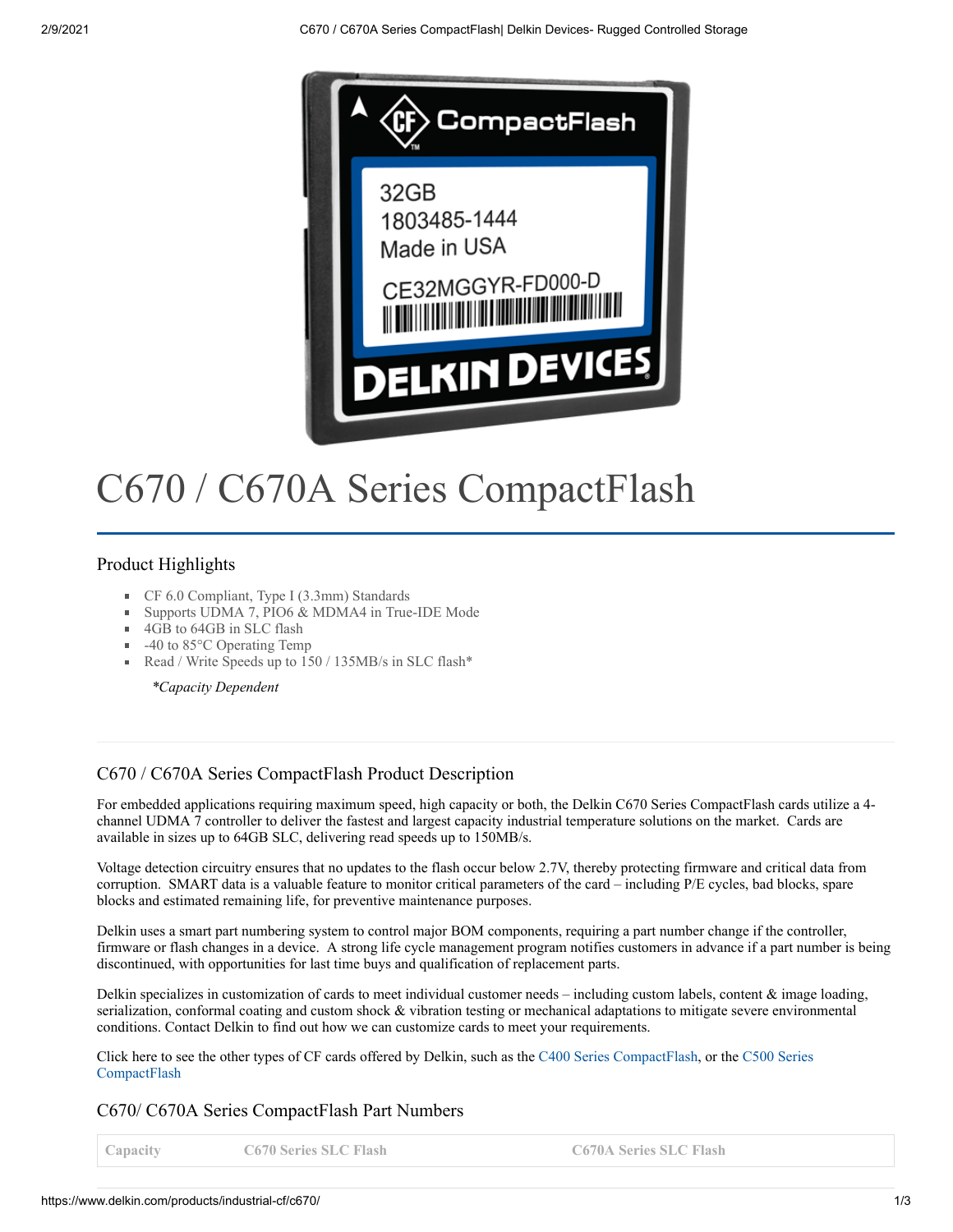

# C670 / C670A Series CompactFlash

# Product Highlights

- CF 6.0 Compliant, Type I (3.3mm) Standards
- Supports UDMA 7, PIO6 & MDMA4 in True-IDE Mode
- 4GB to 64GB in SLC flash
- $-40$  to 85 $\degree$ C Operating Temp
- Read / Write Speeds up to 150 / 135MB/s in SLC flash\*

*\*Capacity Dependent*

### C670 / C670A Series CompactFlash Product Description

For embedded applications requiring maximum speed, high capacity or both, the Delkin C670 Series CompactFlash cards utilize a 4 channel UDMA 7 controller to deliver the fastest and largest capacity industrial temperature solutions on the market. Cards are available in sizes up to 64GB SLC, delivering read speeds up to 150MB/s.

Voltage detection circuitry ensures that no updates to the flash occur below 2.7V, thereby protecting firmware and critical data from corruption. SMART data is a valuable feature to monitor critical parameters of the card – including P/E cycles, bad blocks, spare blocks and estimated remaining life, for preventive maintenance purposes.

Delkin uses a smart part numbering system to control major BOM components, requiring a part number change if the controller, firmware or flash changes in a device. A strong life cycle management program notifies customers in advance if a part number is being discontinued, with opportunities for last time buys and qualification of replacement parts.

Delkin specializes in customization of cards to meet individual customer needs – including custom labels, content & image loading, serialization, conformal coating and custom shock & vibration testing or mechanical adaptations to mitigate severe environmental conditions. Contact Delkin to find out how we can customize cards to meet your requirements.

[Click here to see the other types of CF cards offered by Delkin, such as the C400 Series CompactFlash, or the](https://www.delkin.com/products/industrial-compact-flash/c500/) C500 Series **CompactFlash** 

### C670/ C670A Series CompactFlash Part Numbers

**Capacity C670 Series SLC Flash C670A Series SLC Flash**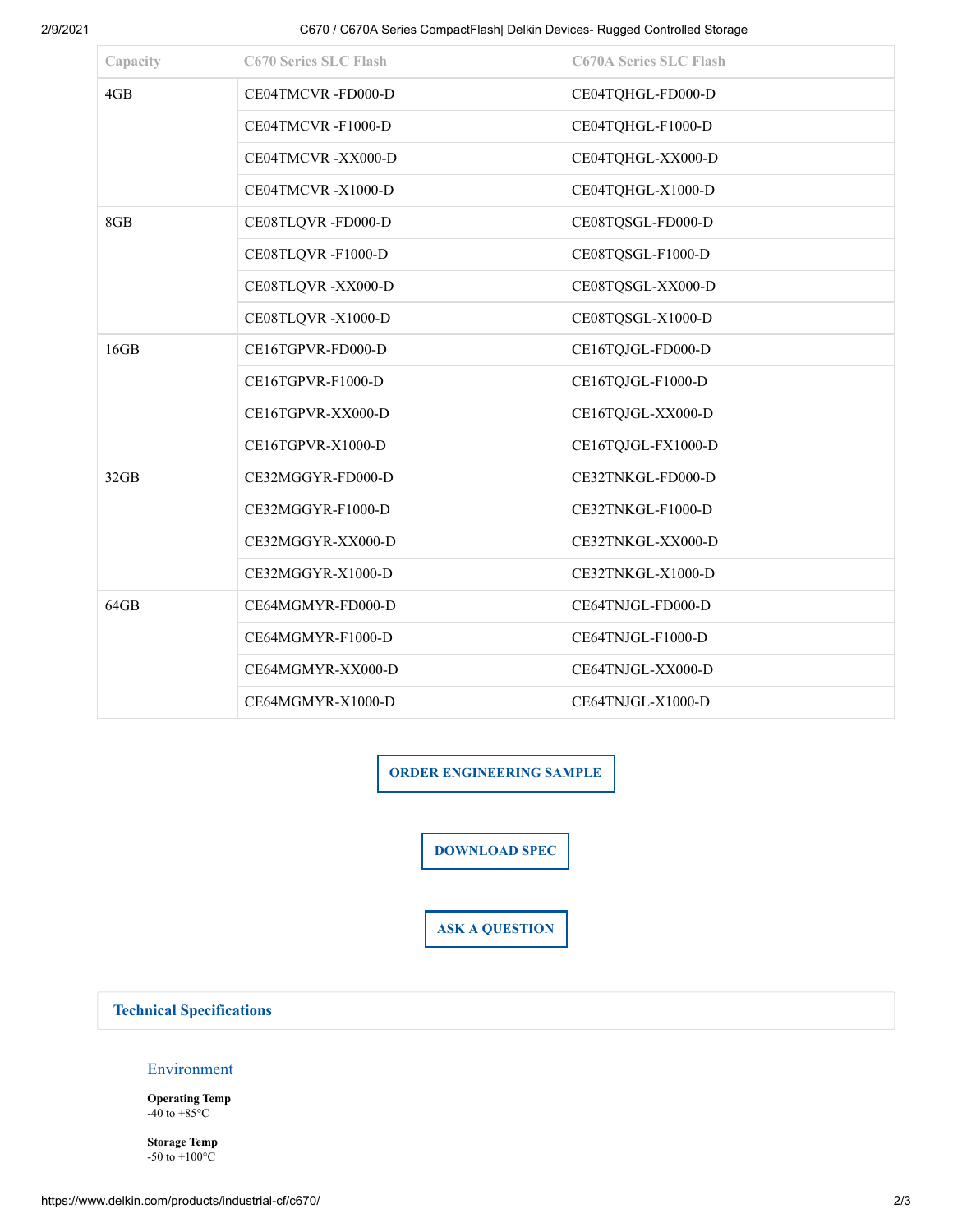2/9/2021 C670 / C670A Series CompactFlash| Delkin Devices- Rugged Controlled Storage

| Capacity | <b>C670 Series SLC Flash</b> | <b>C670A Series SLC Flash</b> |
|----------|------------------------------|-------------------------------|
| 4GB      | CE04TMCVR-FD000-D            | CE04TQHGL-FD000-D             |
|          | CE04TMCVR-F1000-D            | CE04TQHGL-F1000-D             |
|          | CE04TMCVR-XX000-D            | CE04TQHGL-XX000-D             |
|          | CE04TMCVR-X1000-D            | CE04TQHGL-X1000-D             |
| 8GB      | CE08TLQVR-FD000-D            | CE08TQSGL-FD000-D             |
|          | CE08TLQVR-F1000-D            | CE08TQSGL-F1000-D             |
|          | CE08TLQVR-XX000-D            | CE08TQSGL-XX000-D             |
|          | CE08TLQVR-X1000-D            | CE08TQSGL-X1000-D             |
| 16GB     | CE16TGPVR-FD000-D            | CE16TQJGL-FD000-D             |
|          | CE16TGPVR-F1000-D            | CE16TQJGL-F1000-D             |
|          | CE16TGPVR-XX000-D            | CE16TQJGL-XX000-D             |
|          | CE16TGPVR-X1000-D            | CE16TQJGL-FX1000-D            |
| 32GB     | CE32MGGYR-FD000-D            | CE32TNKGL-FD000-D             |
|          | CE32MGGYR-F1000-D            | CE32TNKGL-F1000-D             |
|          | CE32MGGYR-XX000-D            | CE32TNKGL-XX000-D             |
|          | CE32MGGYR-X1000-D            | CE32TNKGL-X1000-D             |
| 64GB     | CE64MGMYR-FD000-D            | CE64TNJGL-FD000-D             |
|          | CE64MGMYR-F1000-D            | CE64TNJGL-F1000-D             |
|          | CE64MGMYR-XX000-D            | CE64TNJGL-XX000-D             |
|          | CE64MGMYR-X1000-D            | CE64TNJGL-X1000-D             |

**ORDER ENGINEERING SAMPLE**

**DOWNLOAD SPEC**

**ASK A QUESTION**

### **[Technical Specifications](https://www.delkin.com/products/industrial-cf/c670/#technical-specifications)**

#### Environment

**Operating Temp**  $-40$  to  $+85^{\circ}$ C

**Storage Temp**  $-50$  to  $+100^{\circ}$ C